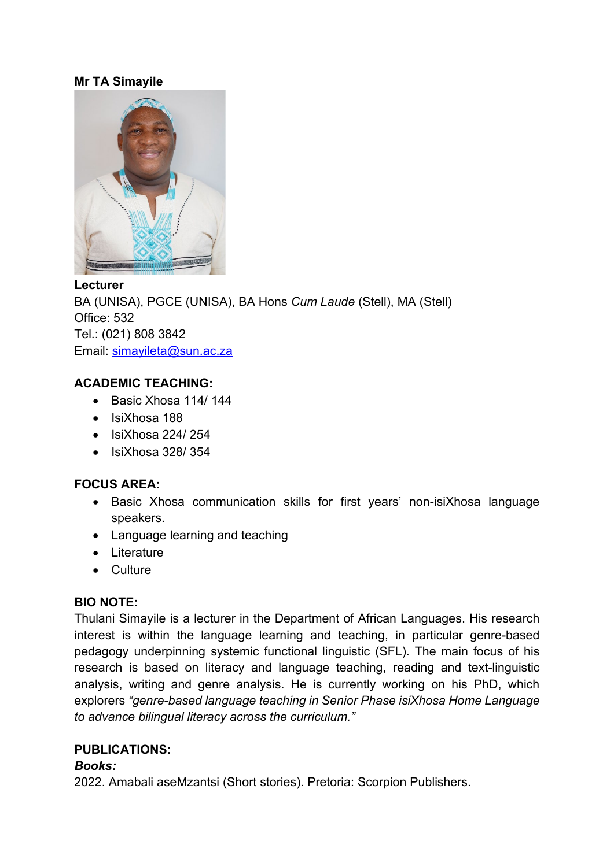### **Mr TA Simayile**



#### **Lecturer**

BA (UNISA), PGCE (UNISA), BA Hons *Cum Laude* (Stell), MA (Stell) Office: 532 Tel.: (021) 808 3842 Email: [simayileta@sun.ac.za](mailto:simayileta@sun.ac.za)

### **ACADEMIC TEACHING:**

- Basic Xhosa 114/ 144
- IsiXhosa 188
- IsiXhosa 224/ 254
- IsiXhosa 328/ 354

#### **FOCUS AREA:**

- Basic Xhosa communication skills for first years' non-isiXhosa language speakers.
- Language learning and teaching
- Literature
- Culture

# **BIO NOTE:**

Thulani Simayile is a lecturer in the Department of African Languages. His research interest is within the language learning and teaching, in particular genre-based pedagogy underpinning systemic functional linguistic (SFL). The main focus of his research is based on literacy and language teaching, reading and text-linguistic analysis, writing and genre analysis. He is currently working on his PhD, which explorers *"genre-based language teaching in Senior Phase isiXhosa Home Language to advance bilingual literacy across the curriculum."*

### **PUBLICATIONS:**

#### *Books:*

2022. Amabali aseMzantsi (Short stories). Pretoria: Scorpion Publishers.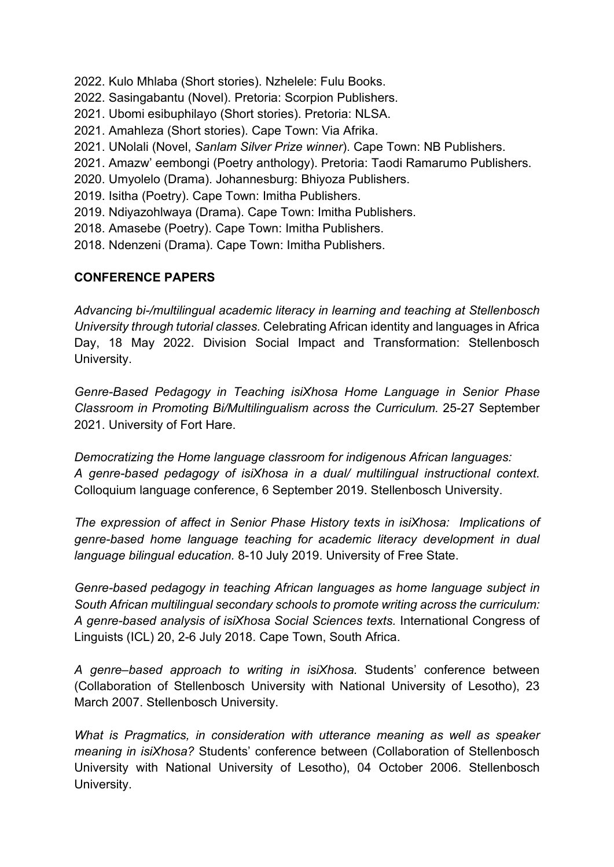2022. Kulo Mhlaba (Short stories). Nzhelele: Fulu Books.

- 2022. Sasingabantu (Novel). Pretoria: Scorpion Publishers.
- 2021. Ubomi esibuphilayo (Short stories). Pretoria: NLSA.
- 2021. Amahleza (Short stories). Cape Town: Via Afrika.
- 2021. UNolali (Novel, *Sanlam Silver Prize winner*). Cape Town: NB Publishers.
- 2021. Amazw' eembongi (Poetry anthology). Pretoria: Taodi Ramarumo Publishers.
- 2020. Umyolelo (Drama). Johannesburg: Bhiyoza Publishers.
- 2019. Isitha (Poetry). Cape Town: Imitha Publishers.
- 2019. Ndiyazohlwaya (Drama). Cape Town: Imitha Publishers.
- 2018. Amasebe (Poetry). Cape Town: Imitha Publishers.
- 2018. Ndenzeni (Drama). Cape Town: Imitha Publishers.

# **CONFERENCE PAPERS**

*Advancing bi-/multilingual academic literacy in learning and teaching at Stellenbosch University through tutorial classes.* Celebrating African identity and languages in Africa Day, 18 May 2022. Division Social Impact and Transformation: Stellenbosch University.

*Genre-Based Pedagogy in Teaching isiXhosa Home Language in Senior Phase Classroom in Promoting Bi/Multilingualism across the Curriculum.* 25-27 September 2021. University of Fort Hare.

*Democratizing the Home language classroom for indigenous African languages: A genre-based pedagogy of isiXhosa in a dual/ multilingual instructional context.*  Colloquium language conference, 6 September 2019. Stellenbosch University.

*The expression of affect in Senior Phase History texts in isiXhosa: Implications of genre-based home language teaching for academic literacy development in dual language bilingual education.* 8-10 July 2019. University of Free State.

*Genre-based pedagogy in teaching African languages as home language subject in South African multilingual secondary schools to promote writing across the curriculum: A genre-based analysis of isiXhosa Social Sciences texts.* International Congress of Linguists (ICL) 20, 2-6 July 2018. Cape Town, South Africa.

*A genre–based approach to writing in isiXhosa.* Students' conference between (Collaboration of Stellenbosch University with National University of Lesotho), 23 March 2007. Stellenbosch University.

*What is Pragmatics, in consideration with utterance meaning as well as speaker meaning in isiXhosa?* Students' conference between (Collaboration of Stellenbosch University with National University of Lesotho), 04 October 2006. Stellenbosch University.